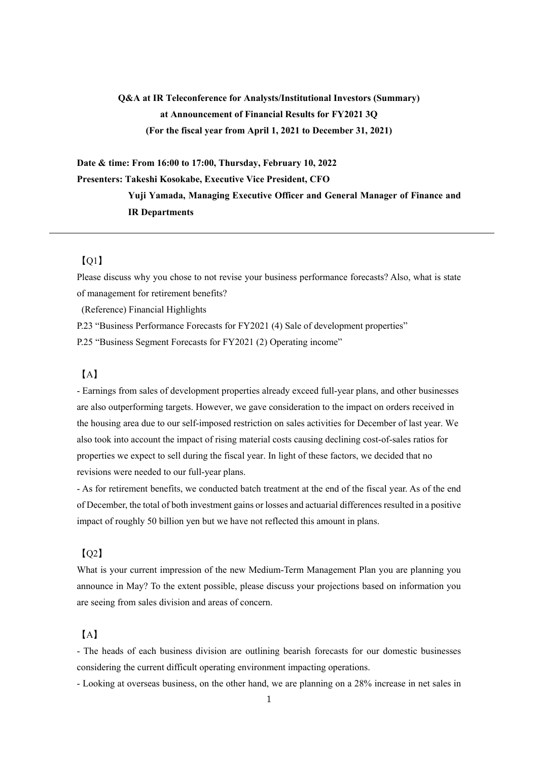# **Q&A at IR Teleconference for Analysts/Institutional Investors (Summary) at Announcement of Financial Results for FY2021 3Q (For the fiscal year from April 1, 2021 to December 31, 2021)**

**Date & time: From 16:00 to 17:00, Thursday, February 10, 2022 Presenters: Takeshi Kosokabe, Executive Vice President, CFO Yuji Yamada, Managing Executive Officer and General Manager of Finance and IR Departments** 

## $[O1]$

Please discuss why you chose to not revise your business performance forecasts? Also, what is state of management for retirement benefits?

(Reference) Financial Highlights

P.23 "Business Performance Forecasts for FY2021 (4) Sale of development properties"

P.25 "Business Segment Forecasts for FY2021 (2) Operating income"

### 【A】

- Earnings from sales of development properties already exceed full-year plans, and other businesses are also outperforming targets. However, we gave consideration to the impact on orders received in the housing area due to our self-imposed restriction on sales activities for December of last year. We also took into account the impact of rising material costs causing declining cost-of-sales ratios for properties we expect to sell during the fiscal year. In light of these factors, we decided that no revisions were needed to our full-year plans.

- As for retirement benefits, we conducted batch treatment at the end of the fiscal year. As of the end of December, the total of both investment gains or losses and actuarial differences resulted in a positive impact of roughly 50 billion yen but we have not reflected this amount in plans.

#### 【Q2】

What is your current impression of the new Medium-Term Management Plan you are planning you announce in May? To the extent possible, please discuss your projections based on information you are seeing from sales division and areas of concern.

### 【A】

- The heads of each business division are outlining bearish forecasts for our domestic businesses considering the current difficult operating environment impacting operations.

- Looking at overseas business, on the other hand, we are planning on a 28% increase in net sales in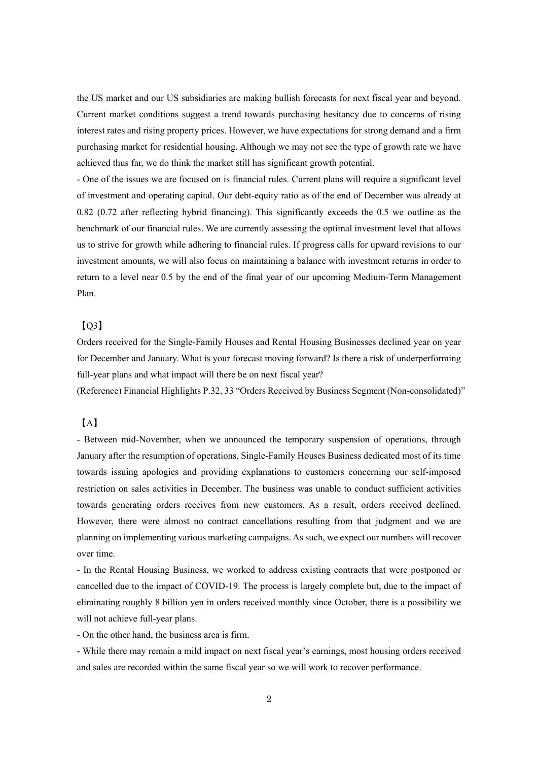the US market and our US subsidiaries are making bullish forecasts for next fiscal year and beyond. Current market conditions suggest a trend towards purchasing hesitancy due to concerns of rising interest rates and rising property prices. However, we have expectations for strong demand and a firm purchasing market for residential housing. Although we may not see the type of growth rate we have achieved thus far, we do think the market still has significant growth potential.

- One of the issues we are focused on is financial rules. Current plans will require a significant level of investment and operating capital. Our debt-equity ratio as of the end of December was already at 0.82 (0.72 after reflecting hybrid financing). This significantly exceeds the 0.5 we outline as the benchmark of our financial rules. We are currently assessing the optimal investment level that allows us to strive for growth while adhering to financial rules. If progress calls for upward revisions to our investment amounts, we will also focus on maintaining a balance with investment returns in order to return to a level near 0.5 by the end of the final year of our upcoming Medium-Term Management Plan.

### $[O3]$

Orders received for the Single-Family Houses and Rental Housing Businesses declined year on year for December and January. What is your forecast moving forward? Is there a risk of underperforming full-year plans and what impact will there be on next fiscal year?

(Reference) Financial Highlights P.32, 33 "Orders Received by Business Segment (Non-consolidated)"

#### 【A】

- Between mid-November, when we announced the temporary suspension of operations, through January after the resumption of operations, Single-Family Houses Business dedicated most of its time towards issuing apologies and providing explanations to customers concerning our self-imposed restriction on sales activities in December. The business was unable to conduct sufficient activities towards generating orders receives from new customers. As a result, orders received declined. However, there were almost no contract cancellations resulting from that judgment and we are planning on implementing various marketing campaigns. As such, we expect our numbers will recover over time.

- In the Rental Housing Business, we worked to address existing contracts that were postponed or cancelled due to the impact of COVID-19. The process is largely complete but, due to the impact of eliminating roughly 8 billion yen in orders received monthly since October, there is a possibility we will not achieve full-year plans.

- On the other hand, the business area is firm.

- While there may remain a mild impact on next fiscal year's earnings, most housing orders received and sales are recorded within the same fiscal year so we will work to recover performance.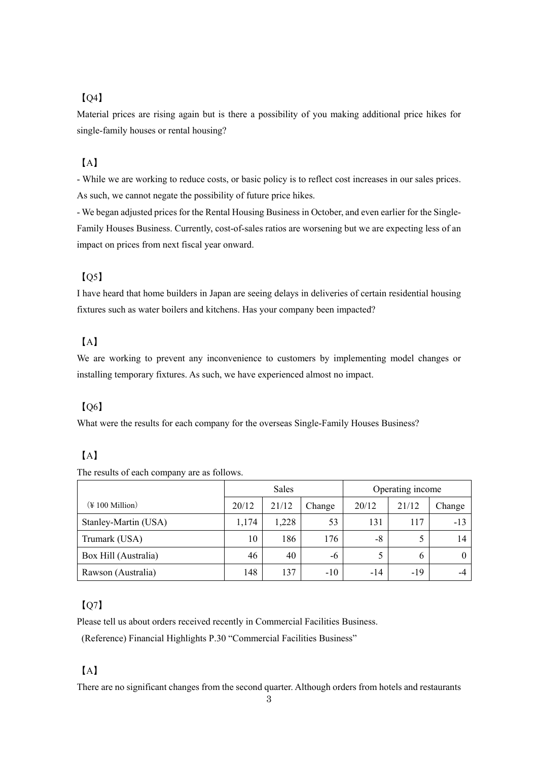## 【Q4】

Material prices are rising again but is there a possibility of you making additional price hikes for single-family houses or rental housing?

## 【A】

- While we are working to reduce costs, or basic policy is to reflect cost increases in our sales prices. As such, we cannot negate the possibility of future price hikes.

- We began adjusted prices for the Rental Housing Business in October, and even earlier for the Single-Family Houses Business. Currently, cost-of-sales ratios are worsening but we are expecting less of an impact on prices from next fiscal year onward.

## $IO<sub>5</sub>$

I have heard that home builders in Japan are seeing delays in deliveries of certain residential housing fixtures such as water boilers and kitchens. Has your company been impacted?

## 【A】

We are working to prevent any inconvenience to customers by implementing model changes or installing temporary fixtures. As such, we have experienced almost no impact.

### 【Q6】

What were the results for each company for the overseas Single-Family Houses Business?

## 【A】

The results of each company are as follows.

|                                     | Sales |       |        | Operating income |       |        |
|-------------------------------------|-------|-------|--------|------------------|-------|--------|
| $(\frac{1}{2} 100 \text{ Million})$ | 20/12 | 21/12 | Change | 20/12            | 21/12 | Change |
| Stanley-Martin (USA)                | 1,174 | 1,228 | 53     | 131              | 117   | $-13$  |
| Trumark (USA)                       | 10    | 186   | 176    | -8               |       | 14     |
| Box Hill (Australia)                | 46    | 40    | -6     |                  | b     |        |
| Rawson (Australia)                  | 148   | 137   | $-10$  | $-14$            | $-19$ | -4     |

## $IO<sub>7</sub>$

Please tell us about orders received recently in Commercial Facilities Business.

(Reference) Financial Highlights P.30 "Commercial Facilities Business"

## 【A】

There are no significant changes from the second quarter. Although orders from hotels and restaurants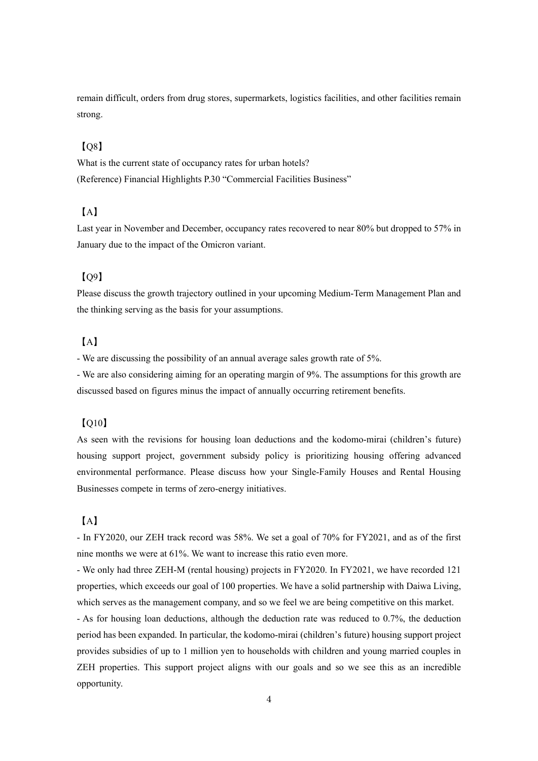remain difficult, orders from drug stores, supermarkets, logistics facilities, and other facilities remain strong.

## 【Q8】

What is the current state of occupancy rates for urban hotels? (Reference) Financial Highlights P.30 "Commercial Facilities Business"

## 【A】

Last year in November and December, occupancy rates recovered to near 80% but dropped to 57% in January due to the impact of the Omicron variant.

#### $[0.09]$

Please discuss the growth trajectory outlined in your upcoming Medium-Term Management Plan and the thinking serving as the basis for your assumptions.

### 【A】

- We are discussing the possibility of an annual average sales growth rate of 5%.

- We are also considering aiming for an operating margin of 9%. The assumptions for this growth are discussed based on figures minus the impact of annually occurring retirement benefits.

#### $IO10$

As seen with the revisions for housing loan deductions and the kodomo-mirai (children's future) housing support project, government subsidy policy is prioritizing housing offering advanced environmental performance. Please discuss how your Single-Family Houses and Rental Housing Businesses compete in terms of zero-energy initiatives.

#### 【A】

- In FY2020, our ZEH track record was 58%. We set a goal of 70% for FY2021, and as of the first nine months we were at 61%. We want to increase this ratio even more.

- We only had three ZEH-M (rental housing) projects in FY2020. In FY2021, we have recorded 121 properties, which exceeds our goal of 100 properties. We have a solid partnership with Daiwa Living, which serves as the management company, and so we feel we are being competitive on this market.

- As for housing loan deductions, although the deduction rate was reduced to 0.7%, the deduction period has been expanded. In particular, the kodomo-mirai (children's future) housing support project provides subsidies of up to 1 million yen to households with children and young married couples in ZEH properties. This support project aligns with our goals and so we see this as an incredible opportunity.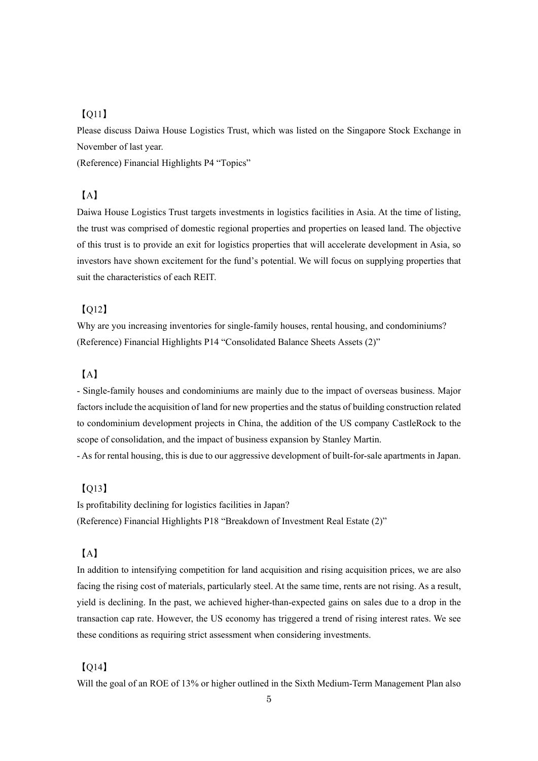## 【Q11】

Please discuss Daiwa House Logistics Trust, which was listed on the Singapore Stock Exchange in November of last year.

(Reference) Financial Highlights P4 "Topics"

## 【A】

Daiwa House Logistics Trust targets investments in logistics facilities in Asia. At the time of listing, the trust was comprised of domestic regional properties and properties on leased land. The objective of this trust is to provide an exit for logistics properties that will accelerate development in Asia, so investors have shown excitement for the fund's potential. We will focus on supplying properties that suit the characteristics of each REIT.

#### 【Q12】

Why are you increasing inventories for single-family houses, rental housing, and condominiums? (Reference) Financial Highlights P14 "Consolidated Balance Sheets Assets (2)"

### 【A】

- Single-family houses and condominiums are mainly due to the impact of overseas business. Major factors include the acquisition of land for new properties and the status of building construction related to condominium development projects in China, the addition of the US company CastleRock to the scope of consolidation, and the impact of business expansion by Stanley Martin.

- As for rental housing, this is due to our aggressive development of built-for-sale apartments in Japan.

### 【Q13】

Is profitability declining for logistics facilities in Japan? (Reference) Financial Highlights P18 "Breakdown of Investment Real Estate (2)"

### 【A】

In addition to intensifying competition for land acquisition and rising acquisition prices, we are also facing the rising cost of materials, particularly steel. At the same time, rents are not rising. As a result, yield is declining. In the past, we achieved higher-than-expected gains on sales due to a drop in the transaction cap rate. However, the US economy has triggered a trend of rising interest rates. We see these conditions as requiring strict assessment when considering investments.

#### 【Q14】

Will the goal of an ROE of 13% or higher outlined in the Sixth Medium-Term Management Plan also